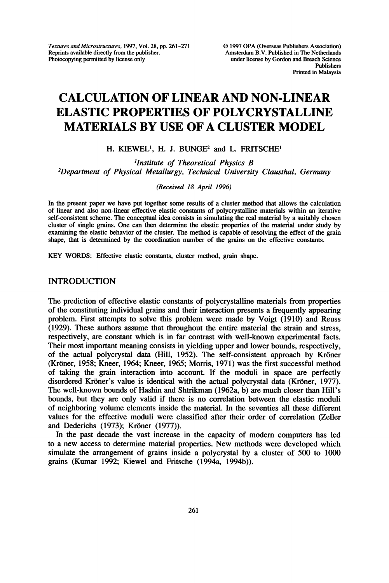Textures and Microstructures, 1997, Vol. 28, pp. 261-271 Reprints available directly from the publisher. Photocopying permitted by license only

(C) 1997 OPA (Overseas Publishers Association) Amsterdam B.V. Published in The Netherlands under license by Gordon and Breach Science Publishers Printed in Malaysia

# CALCULATION OF LINEAR AND NON-LINEAR ELASTIC PROPERTIES OF POLYCRYSTALLINE MATERIALS BY USE OF A CLUSTER MODEL

# H. KIEWEL<sup>1</sup>, H. J. BUNGE<sup>2</sup> and L. FRITSCHE

llnstitute of Theoretical Physics B 2Department of Physical Metallurgy, Technical University Clausthal, Germany

### (Received 18 April 1996)

In the present paper we have put together some results of a cluster method that allows the calculation of linear and also non-linear effective elastic constants of polycrystalline materials within an iterative self-consistent scheme. The conceptual idea consists in simulating the real material by a suitably chosen cluster of single grains. One can then determine the elastic properties of the material under study by examining the elastic behavior of the cluster. The method is capable of resolving the effect of the grain shape, that is determined by the coordination number of the grains on the effective constants.

KEY WORDS: Effective elastic constants, cluster method, grain shape.

# INTRODUCTION

The prediction of effective elastic constants of polycrystalline materials from properties of the constituting individual grains and their interaction presents a frequently appearing problem. First attempts to solve this problem were made by Voigt (1910) and Reuss (1929). These authors assume that throughout the entire material the strain and stress, respectively, are constant which is in far contrast with well-known experimental facts. Their most important meaning consists in yielding upper and lower bounds, respectively, of the actual polycrystal data (Hill, 1952). The self-consistent approach by Kröner (Kröner, 1958; Kneer, 1964; Kneer, 1965; Morris, 1971) was the first successful method of taking the grain interaction into account. If the moduli in space are perfectly disordered Kröner's value is identical with the actual polycrystal data (Kröner, 1977). The well-known bounds of Hashin and Shtrikman (1962a, b) are much closer than Hill's bounds, but they are only valid if there is no correlation between the elastic moduli of neighboring volume elements inside the material. In the seventies all these different values for the effective moduli were classified after their order of correlation (Zeller and Dederichs (1973); Kröner (1977)).

In the past decade the vast increase in the capacity of modem computers has led to a new access to determine material properties. New methods were developed which simulate the arrangement of grains inside a polycrystal by a cluster of 500 to 1000 grains (Kumar 1992; Kiewel and Fritsche (1994a, 1994b)).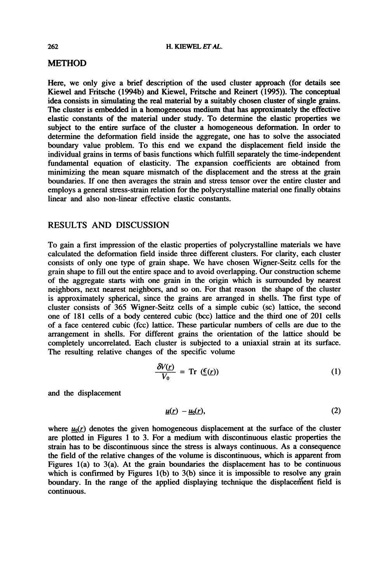## METHOD

Here, we only give a brief description of the used cluster approach (for details see Kiewel and Fritsche (1994b) and Kiewel, Fritsche and Reinert (1995)). The conceptual idea consists in simulating the real material by a suitably chosen cluster of single grains. The cluster is embedded in a homogeneous medium that has approximately the effective elastic constants of the material under study. To determine the elastic properties we subject to the entire surface of the cluster a homogeneous deformation. In order to determine the deformation field inside the aggregate, one has to solve the associated boundary value problem. To this end we expand the displacement field inside the individual grains in terms of basis functions which fulfill separately the time-independent fundamental equation of elasticity. The expansion coefficients are obtained from minimizing the mean square mismatch of the displacement and the stress at the grain boundaries. If one then averages the strain and stress tensor over the entire cluster and employs a general stress-strain relation for the polycrystalline material one finally obtains linear and also non-linear effective elastic constants.

## RESULTS AND DISCUSSION

To gain a first impression of the elastic properties of polycrystalline materials we have calculated the deformation field inside three different clusters. For clarity, each cluster consists of only one type of grain shape. We have chosen Wigner-Seitz cells for the grain shape to fill out the entire space and to avoid overlapping. Our construction scheme of the aggregate starts with one grain in the origin which is surrounded by nearest neighbors, next nearest neighbors, and so on. For that reason the shape of the cluster is approximately spherical, since the grains are arranged in shells. The first type of cluster consists of 365 Wigner-Seitz cells of a simple cubic (sc) lattice, the second one of 181 cells of a body centered cubic (bcc) lattice and the third one of 201 cells of a face centered cubic (fcc) lattice. These particular numbers of cells are due to the arrangement in shells. For different grains the orientation of the lattice should be completely uncorrelated. Each cluster is subjected to a uniaxial strain at its surface. The resulting relative changes of the specific volume

$$
\frac{\delta V(\underline{r})}{V_0} = \text{Tr} \ (\underline{\epsilon}(\underline{r})) \tag{1}
$$

and the displacement

$$
\underline{u}(r) - \underline{u}_0(r), \qquad (2)
$$

where  $u_0(r)$  denotes the given homogeneous displacement at the surface of the cluster are plotted in Figures <sup>1</sup> to 3. For a medium with discontinuous elastic properties the strain has to be discontinuous since the stress is always continuous. As a consequence the field of the relative changes of the volume is discontinuous, which is apparent from Figures  $1(a)$  to  $3(a)$ . At the grain boundaries the displacement has to be continuous which is confirmed by Figures  $1(b)$  to  $3(b)$  since it is impossible to resolve any grain boundary. In the range of the applied displaying technique the displacement field is continuous.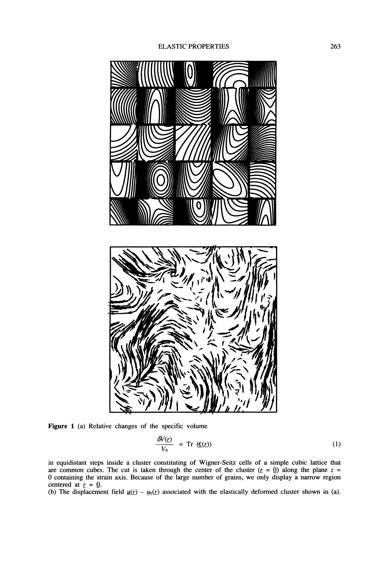

Figure 1 (a) Relative changes of the specific volume

$$
\frac{\partial V(\underline{r})}{V_0} = \text{Tr} \ (\underline{\epsilon}(\underline{r})) \tag{1}
$$

in equidistant steps inside a cluster constituting of Wigner-Seitz cells of a simple cubic lattice that are common cubes. The cut is taken through the center of the cluster ( $r = 0$ ) along the plane  $z =$ 0 containing the strain axis. Because of the large number of grains, we only display a narrow region centered at  $r = 0$ .

(b) The displacement field  $u(r) - u_0(r)$  associated with the elastically deformed cluster shown in (a).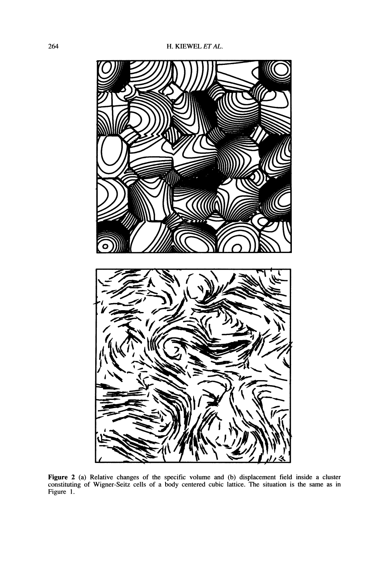

Figure 2 (a) Relative changes of the specific volume and (b) displacement field inside a cluster constituting of Wigner-Seitz cells of a body centered cubic lattice. The situation is the same as in Figure 1.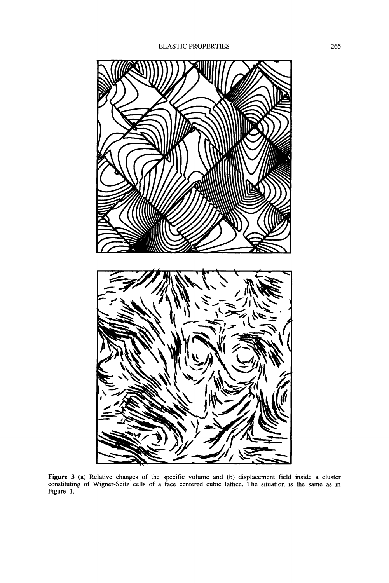

Figure 3 (a) Relative changes of the specific volume and (b) displacement field inside a cluster constituting of Wigner-Seitz cells of a face centered cubic lattice. The situation is the same as in Figure 1.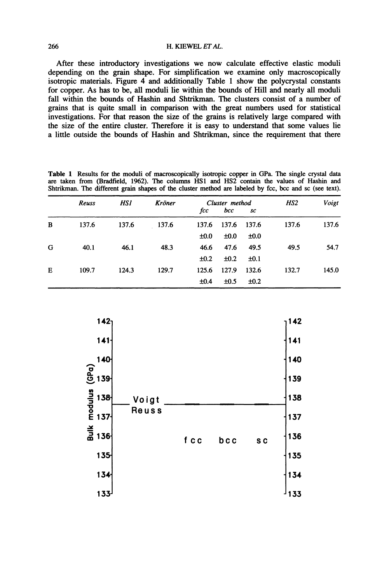#### 266 H. KIEWEL ET AL.

After these introductory investigations we now calculate effective elastic moduli depending on the grain shape. For simplification we examine only macroscopically isotropic materials. Figure 4 and additionally Table <sup>1</sup> show the polycrystal constants for copper. As has to be, all moduli lie within the bounds of Hill and nearly all moduli fall within the bounds of Hashin and Shtrikman. The clusters consist of a number of grains that is quite small in comparison with the great numbers used for statistical investigations. For that reason the size of the grains is relatively large compared with the size of the entire cluster. Therefore it is easy to understand that some values lie a little outside the bounds of Hashin and Shtrikman, since the requirement that there

Table 1 Results for the moduli of macroscopically isotropic copper in GPa. The single crystal data are taken from (Bradfield, 1962). The columns HS1 and HS2 contain the values of Hashin and Shtrikman. The different grain shapes of the cluster method are labeled by fcc, bcc and sc (see text).

|   | Reuss | HS1   | <b>Kröner</b> | fcc   | Cluster method<br>bcc | sc    | HS2   | Voigt |
|---|-------|-------|---------------|-------|-----------------------|-------|-------|-------|
| в | 137.6 | 137.6 | 137.6         | 137.6 | 137.6                 | 137.6 | 137.6 | 137.6 |
|   |       |       |               | ±0.0  | $\pm 0.0$             | ±0.0  |       |       |
| G | 40.1  | 46.1  | 48.3          | 46.6  | 47.6                  | 49.5  | 49.5  | 54.7  |
|   |       |       |               | ±0.2  | ±0.2                  | ±0.1  |       |       |
| E | 109.7 | 124.3 | 129.7         | 125.6 | 127.9                 | 132.6 | 132.7 | 145.0 |
|   |       |       |               | ±0.4  | ±0.5                  | ±0.2  |       |       |

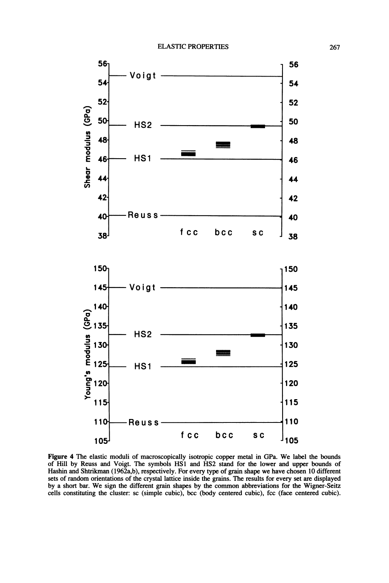

Figure 4 The elastic moduli of macroscopically isotropic copper metal in GPa. We label the bounds of Hill by Reuss and Voigt. The symbols HS1 and HS2 stand for the lower and upper bounds of Hashin and Shtrikman (1962a,b), respectively. For every type of grain shape we have chosen 10 different sets of random orientations of the crystal lattice inside the grains. The results for every set are displayed by <sup>a</sup> short bar. We sign the different grain shapes by the common abbreviations for the Wigner-Seitz cells constituting the cluster: sc (simple cubic), bcc (body centered cubic), fcc (face centered cubic).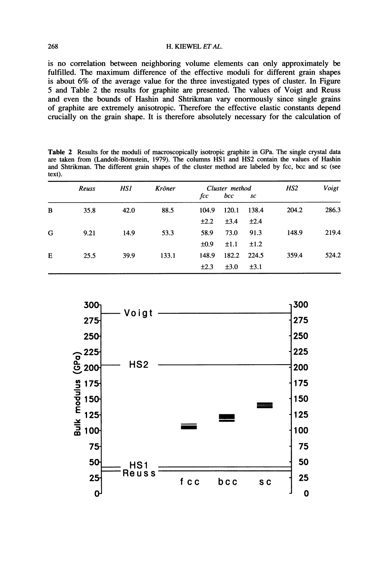## 268 H. KIEWEL ETAL.

is no correlation between neighboring volume elements can only approximately be fulfilled. The maximum difference of the effective moduli for different grain shapes is about 6% of the average value for the three investigated types of cluster. In Figure 5 and Table 2 the results for graphite are presented. The values of Voigt and Reuss and even the bounds of Hashin and Shtrikman vary enormously since single grains of graphite are extremely anisotropic. Therefore the effective elastic constants depend crucially on the grain shape. It is therefore absolutely necessary for the calculation of

Table 2 Results for the moduli of macroscopically isotropic graphite in GPa. The single crystal data are taken from (Landolt-Börnstein, 1979). The columns HS1 and HS2 contain the values of Hashin and Shtrikman. The different grain shapes of the cluster method are labeled by fcc, bcc and sc (see text).

|   | Reuss | HS1  | <b>Kröner</b> | fcc   | Cluster method<br>bcc | sc        | HS2   | Voigt |
|---|-------|------|---------------|-------|-----------------------|-----------|-------|-------|
| B | 35.8  | 42.0 | 88.5          | 104.9 | 120.1                 | 138.4     | 204.2 | 286.3 |
|   |       |      |               | ±2.2  | ±3.4                  | ±2.4      |       |       |
| G | 9.21  | 14.9 | 53.3          | 58.9  | 73.0                  | 91.3      | 148.9 | 219.4 |
|   |       |      |               | ±0.9  | ±1.1                  | ±1.2      |       |       |
| E | 25.5  | 39.9 | 133.1         | 148.9 | 182.2                 | 224.5     | 359.4 | 524.2 |
|   |       |      |               | ±2.3  | ±3.0                  | $\pm 3.1$ |       |       |

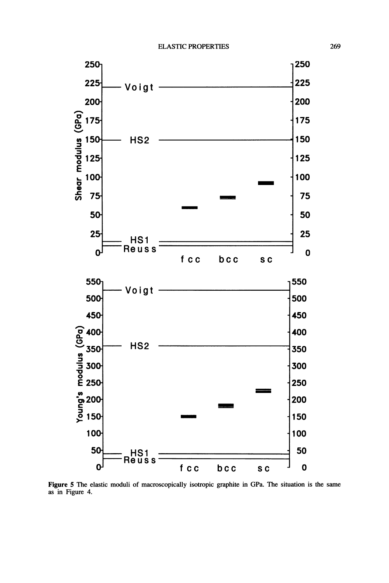

Figure 5 The elastic moduli of macroscopically isotropic graphite in GPa. The situation is the same as in Figure 4.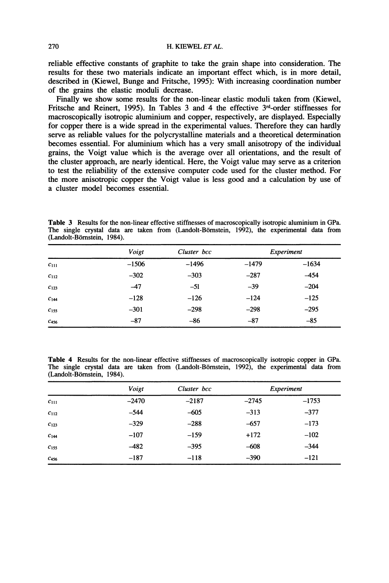reliable effective constants of graphite to take the grain shape into consideration. The results for these two materials indicate an important effect which, is in more detail, described in (Kiewel, Bunge and Fritsche, 1995): With increasing coordination number of the grains the elastic moduli decrease.

Finally we show some results for the non-linear elastic moduli taken from (Kiewel, Fritsche and Reinert, 1995). In Tables 3 and 4 the effective  $3<sup>rd</sup>$ -order stiffnesses for macroscopically isotropic aluminium and copper, respectively, are displayed. Especially for copper there is a wide spread in the experimental values. Therefore they can hardly serve as reliable values for the polycrystalline materials and a theoretical determination becomes essential. For aluminium which has a very small anisotropy of the individual grains, the Voigt value which is the average over all orientations, and the result of the cluster approach, are nearly identical. Here, the Voigt value may serve as a criterion to test the reliability of the extensive computer code used for the cluster method. For the more anisotropic copper the Voigt value is less good and a calculation by use of a cluster model becomes essential.

Table 3 Results for the non-linear effective stiffnesses of macroscopically isotropic aluminium in GPa. The single crystal data are taken from (Landolt-Börnstein, 1992), the experimental data from (Landolt-Börnstein, 1984).

|                  | Voigt   | Cluster bcc |         | Experiment |
|------------------|---------|-------------|---------|------------|
| $c_{111}$        | $-1506$ | $-1496$     | $-1479$ | $-1634$    |
| $c_{112}$        | $-302$  | $-303$      | $-287$  | $-454$     |
| $C_{123}$        | $-47$   | $-51$       | $-39$   | $-204$     |
| $C_{144}$        | $-128$  | $-126$      | $-124$  | $-125$     |
| C <sub>155</sub> | $-301$  | $-298$      | $-298$  | $-295$     |
| C <sub>456</sub> | $-87$   | $-86$       | $-87$   | $-85$      |

Table 4 Results for the non-linear effective stiffnesses of macroscopically isotropic copper in GPa. The single crystal data are taken from (Landolt-B6rnstein, 1992), the experimental data from (Landolt-Börnstein, 1984).

|                  | Voigt   | Cluster bcc |         | Experiment |
|------------------|---------|-------------|---------|------------|
| $c_{111}$        | $-2470$ | $-2187$     | $-2745$ | $-1753$    |
| $c_{112}$        | $-544$  | $-605$      | $-313$  | $-377$     |
| $C_{123}$        | $-329$  | $-288$      | $-657$  | $-173$     |
| $c_{144}$        | $-107$  | $-159$      | $+172$  | $-102$     |
| C <sub>155</sub> | $-482$  | $-395$      | $-608$  | $-344$     |
| C <sub>456</sub> | $-187$  | $-118$      | $-390$  | $-121$     |